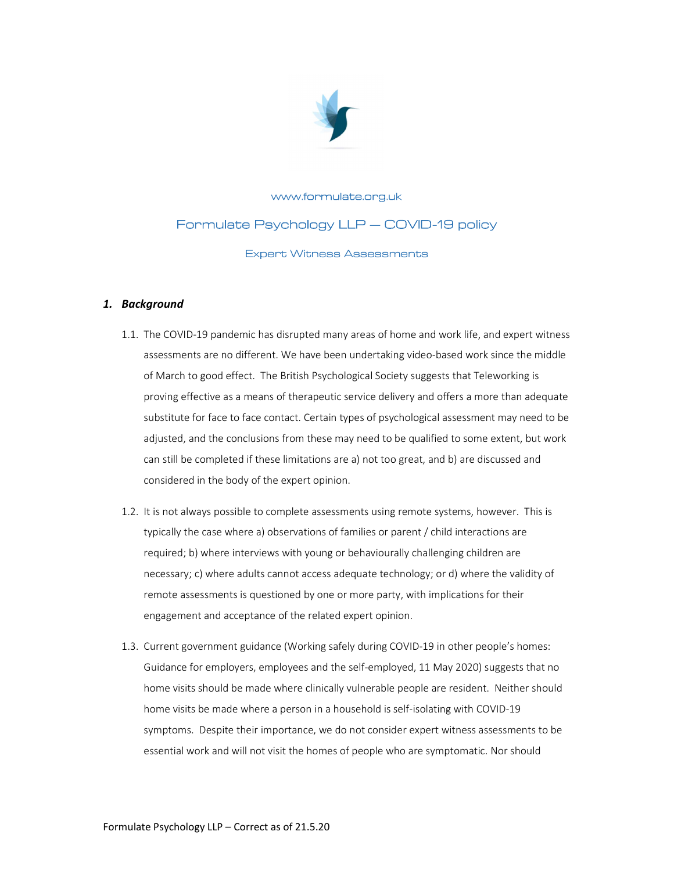

# www.formulate.org.uk Formulate Psychology LLP - COVID-19 policy **Expert Witness Assessments**

# 1. Background

- 1.1. The COVID-19 pandemic has disrupted many areas of home and work life, and expert witness assessments are no different. We have been undertaking video-based work since the middle of March to good effect. The British Psychological Society suggests that Teleworking is proving effective as a means of therapeutic service delivery and offers a more than adequate substitute for face to face contact. Certain types of psychological assessment may need to be adjusted, and the conclusions from these may need to be qualified to some extent, but work can still be completed if these limitations are a) not too great, and b) are discussed and considered in the body of the expert opinion.
- 1.2. It is not always possible to complete assessments using remote systems, however. This is typically the case where a) observations of families or parent / child interactions are required; b) where interviews with young or behaviourally challenging children are necessary; c) where adults cannot access adequate technology; or d) where the validity of remote assessments is questioned by one or more party, with implications for their engagement and acceptance of the related expert opinion.
- 1.3. Current government guidance (Working safely during COVID-19 in other people's homes: Guidance for employers, employees and the self-employed, 11 May 2020) suggests that no home visits should be made where clinically vulnerable people are resident. Neither should home visits be made where a person in a household is self-isolating with COVID-19 symptoms. Despite their importance, we do not consider expert witness assessments to be essential work and will not visit the homes of people who are symptomatic. Nor should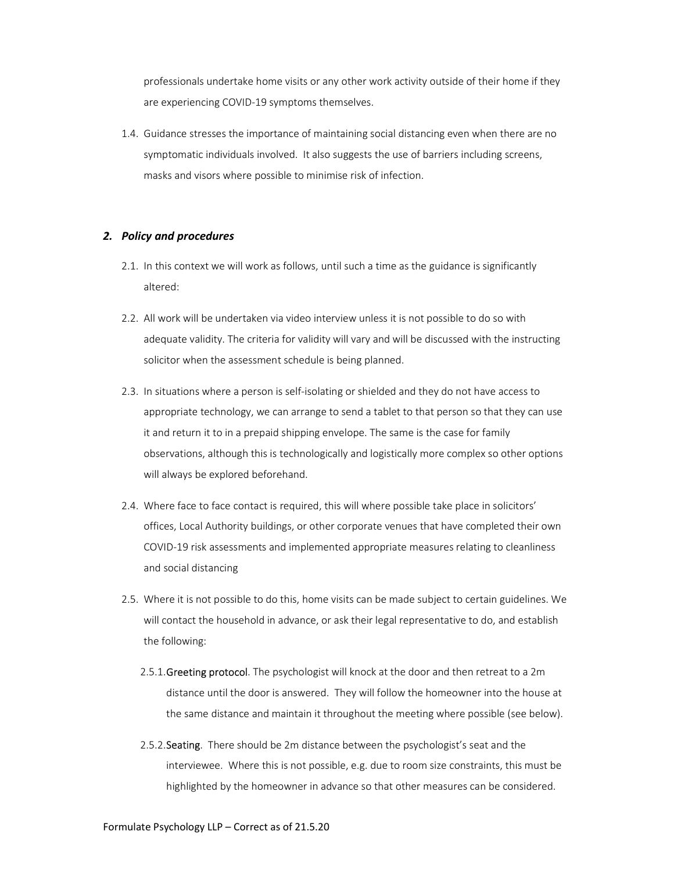professionals undertake home visits or any other work activity outside of their home if they are experiencing COVID-19 symptoms themselves.

1.4. Guidance stresses the importance of maintaining social distancing even when there are no symptomatic individuals involved. It also suggests the use of barriers including screens, masks and visors where possible to minimise risk of infection.

## 2. Policy and procedures

- 2.1. In this context we will work as follows, until such a time as the guidance is significantly altered:
- 2.2. All work will be undertaken via video interview unless it is not possible to do so with adequate validity. The criteria for validity will vary and will be discussed with the instructing solicitor when the assessment schedule is being planned.
- 2.3. In situations where a person is self-isolating or shielded and they do not have access to appropriate technology, we can arrange to send a tablet to that person so that they can use it and return it to in a prepaid shipping envelope. The same is the case for family observations, although this is technologically and logistically more complex so other options will always be explored beforehand.
- 2.4. Where face to face contact is required, this will where possible take place in solicitors' offices, Local Authority buildings, or other corporate venues that have completed their own COVID-19 risk assessments and implemented appropriate measures relating to cleanliness and social distancing
- 2.5. Where it is not possible to do this, home visits can be made subject to certain guidelines. We will contact the household in advance, or ask their legal representative to do, and establish the following:
	- 2.5.1. Greeting protocol. The psychologist will knock at the door and then retreat to a 2m distance until the door is answered. They will follow the homeowner into the house at the same distance and maintain it throughout the meeting where possible (see below).
	- 2.5.2. Seating. There should be 2m distance between the psychologist's seat and the interviewee. Where this is not possible, e.g. due to room size constraints, this must be highlighted by the homeowner in advance so that other measures can be considered.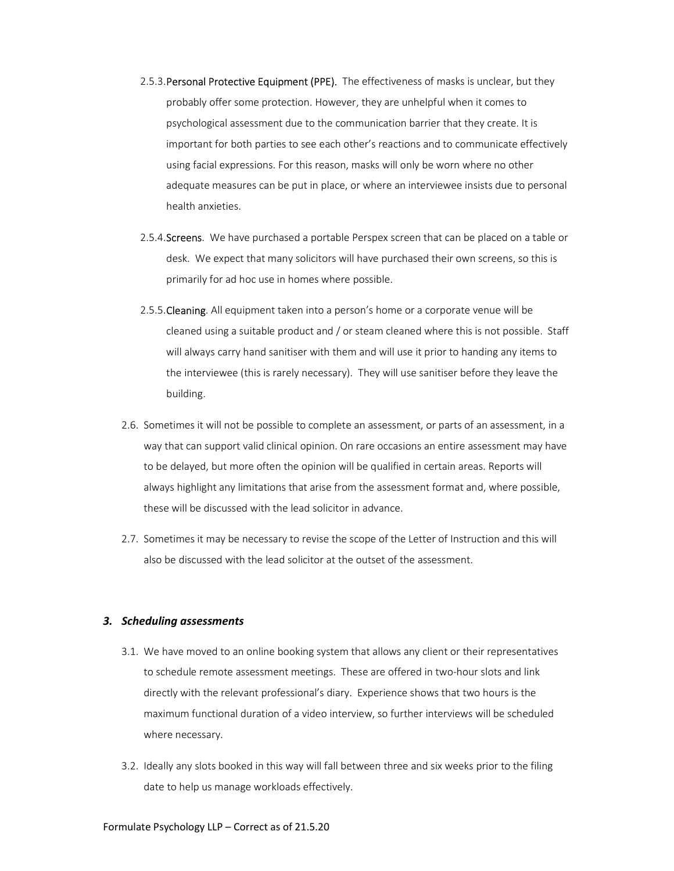- 2.5.3. Personal Protective Equipment (PPE). The effectiveness of masks is unclear, but they probably offer some protection. However, they are unhelpful when it comes to psychological assessment due to the communication barrier that they create. It is important for both parties to see each other's reactions and to communicate effectively using facial expressions. For this reason, masks will only be worn where no other adequate measures can be put in place, or where an interviewee insists due to personal health anxieties.
- 2.5.4. Screens. We have purchased a portable Perspex screen that can be placed on a table or desk. We expect that many solicitors will have purchased their own screens, so this is primarily for ad hoc use in homes where possible.
- 2.5.5. Cleaning. All equipment taken into a person's home or a corporate venue will be cleaned using a suitable product and / or steam cleaned where this is not possible. Staff will always carry hand sanitiser with them and will use it prior to handing any items to the interviewee (this is rarely necessary). They will use sanitiser before they leave the building.
- 2.6. Sometimes it will not be possible to complete an assessment, or parts of an assessment, in a way that can support valid clinical opinion. On rare occasions an entire assessment may have to be delayed, but more often the opinion will be qualified in certain areas. Reports will always highlight any limitations that arise from the assessment format and, where possible, these will be discussed with the lead solicitor in advance.
- 2.7. Sometimes it may be necessary to revise the scope of the Letter of Instruction and this will also be discussed with the lead solicitor at the outset of the assessment.

#### 3. Scheduling assessments

- 3.1. We have moved to an online booking system that allows any client or their representatives to schedule remote assessment meetings. These are offered in two-hour slots and link directly with the relevant professional's diary. Experience shows that two hours is the maximum functional duration of a video interview, so further interviews will be scheduled where necessary.
- 3.2. Ideally any slots booked in this way will fall between three and six weeks prior to the filing date to help us manage workloads effectively.